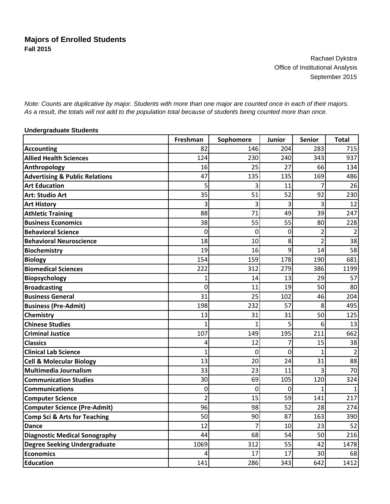Rachael Dykstra Office of Institutional Analysis September 2015

*Note: Counts are duplicative by major. Students with more than one major are counted once in each of their majors. As a result, the totals will not add to the population total because of students being counted more than once.*

## **Undergraduate Students**

|                                           | Freshman       | Sophomore   | <b>Junior</b> | <b>Senior</b>  | <b>Total</b> |
|-------------------------------------------|----------------|-------------|---------------|----------------|--------------|
| <b>Accounting</b>                         | 82             | 146         | 204           | 283            | 715          |
| <b>Allied Health Sciences</b>             | 124            | 230         | 240           | 343            | 937          |
| Anthropology                              | 16             | 25          | 27            | 66             | 134          |
| <b>Advertising &amp; Public Relations</b> | 47             | 135         | 135           | 169            | 486          |
| <b>Art Education</b>                      | 5              |             | 11            |                | 26           |
| <b>Art: Studio Art</b>                    | 35             | 51          | 52            | 92             | 230          |
| <b>Art History</b>                        | 3              | 3           | 3             | 3              | 12           |
| <b>Athletic Training</b>                  | 88             | 71          | 49            | 39             | 247          |
| <b>Business Economics</b>                 | 38             | 55          | 55            | 80             | 228          |
| <b>Behavioral Science</b>                 | 0              | $\mathbf 0$ | 0             | $\overline{2}$ | 2            |
| <b>Behavioral Neuroscience</b>            | 18             | 10          | 8             | $\overline{2}$ | 38           |
| <b>Biochemistry</b>                       | 19             | 16          | 9             | 14             | 58           |
| <b>Biology</b>                            | 154            | 159         | 178           | 190            | 681          |
| <b>Biomedical Sciences</b>                | 222            | 312         | 279           | 386            | 1199         |
| <b>Biopsychology</b>                      | 1              | 14          | 13            | 29             | 57           |
| <b>Broadcasting</b>                       | 0              | 11          | 19            | 50             | 80           |
| <b>Business General</b>                   | 31             | 25          | 102           | 46             | 204          |
| <b>Business (Pre-Admit)</b>               | 198            | 232         | 57            | 8              | 495          |
| <b>Chemistry</b>                          | 13             | 31          | 31            | 50             | 125          |
| <b>Chinese Studies</b>                    | 1              |             | 5             | 6              | 13           |
| <b>Criminal Justice</b>                   | 107            | 149         | 195           | 211            | 662          |
| <b>Classics</b>                           | 4              | 12          | 7             | 15             | 38           |
| <b>Clinical Lab Science</b>               | $\mathbf{1}$   | 0           | $\mathbf{0}$  | 1              |              |
| <b>Cell &amp; Molecular Biology</b>       | 13             | 20          | 24            | 31             | 88           |
| <b>Multimedia Journalism</b>              | 33             | 23          | 11            | 3              | 70           |
| <b>Communication Studies</b>              | 30             | 69          | 105           | 120            | 324          |
| <b>Communications</b>                     | 0              | $\mathbf 0$ | $\mathbf{0}$  | $\overline{1}$ |              |
| <b>Computer Science</b>                   | $\overline{2}$ | 15          | 59            | 141            | 217          |
| <b>Computer Science (Pre-Admit)</b>       | 96             | 98          | 52            | 28             | 274          |
| Comp Sci & Arts for Teaching              | 50             | 90          | 87            | 163            | 390          |
| <b>Dance</b>                              | 12             | 7           | 10            | 23             | 52           |
| <b>Diagnostic Medical Sonography</b>      | 44             | 68          | 54            | 50             | 216          |
| <b>Degree Seeking Undergraduate</b>       | 1069           | 312         | 55            | 42             | 1478         |
| <b>Economics</b>                          | 4              | 17          | 17            | 30             | 68           |
| <b>Education</b>                          | 141            | 286         | 343           | 642            | 1412         |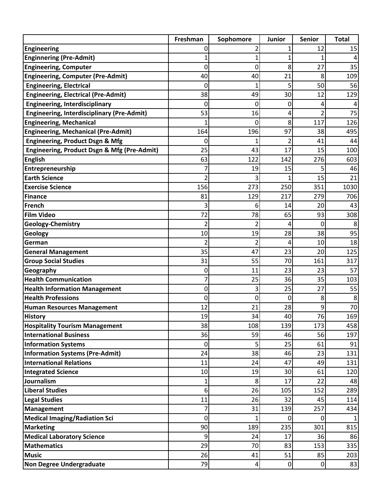|                                                   | Freshman         | Sophomore      | <b>Junior</b>  | <b>Senior</b>  | <b>Total</b> |
|---------------------------------------------------|------------------|----------------|----------------|----------------|--------------|
| <b>Engineering</b>                                | 0                |                | 1              | 12             | 15           |
| <b>Enginnering (Pre-Admit)</b>                    |                  |                | 1              |                |              |
| <b>Engineering, Computer</b>                      | 0                | 0              | 8              | 27             | 35           |
| <b>Engineering, Computer (Pre-Admit)</b>          | 40               | 40             | 21             | 8              | 109          |
| <b>Engineering, Electrical</b>                    | 0                |                | 5              | 50             | 56           |
| <b>Engineering, Electrical (Pre-Admit)</b>        | 38               | 49             | 30             | 12             | 129          |
| <b>Engineering, Interdisciplinary</b>             | 0                | 0              | 0              | 4              |              |
| <b>Engineering, Interdisciplinary (Pre-Admit)</b> | 53               | 16             | 4              | $\overline{2}$ | 75           |
| <b>Engineering, Mechanical</b>                    |                  | 0              | 8              | 117            | 126          |
| <b>Engineering, Mechanical (Pre-Admit)</b>        | 164              | 196            | 97             | 38             | 495          |
| <b>Engineering, Product Dsgn &amp; Mfg</b>        | 0                |                | 2              | 41             | 44           |
| Engineering, Product Dsgn & Mfg (Pre-Admit)       | 25               | 43             | 17             | 15             | 100          |
| <b>English</b>                                    | 63               | 122            | 142            | 276            | 603          |
| Entrepreneurship                                  | 7                | 19             | 15             | 5              | 46           |
| <b>Earth Science</b>                              | 2                | 3              |                | 15             | 21           |
| <b>Exercise Science</b>                           | 156              | 273            | 250            | 351            | 1030         |
| <b>Finance</b>                                    | 81               | 129            | 217            | 279            | 706          |
| French                                            | 3                | 6              | 14             | 20             | 43           |
| <b>Film Video</b>                                 | 72               | 78             | 65             | 93             | 308          |
| <b>Geology-Chemistry</b>                          | 2                | 2              | 4              | 0              | 8            |
| <b>Geology</b>                                    | 10               | 19             | 28             | 38             | 95           |
| German                                            | 2                | $\overline{2}$ | 4              | 10             | 18           |
| <b>General Management</b>                         | 35               | 47             | 23             | 20             | 125          |
| <b>Group Social Studies</b>                       | 31               | 55             | 70             | 161            | 317          |
| Geography                                         | 0                | 11             | 23             | 23             | 57           |
| <b>Health Communication</b>                       | 7                | 25             | 36             | 35             | 103          |
| <b>Health Information Management</b>              | 0                | 3              | 25             | 27             | 55           |
| <b>Health Professions</b>                         | 0                | $\mathbf 0$    | 0              | 8              | 8            |
| <b>Human Resources Management</b>                 | 12               | 21             | 28             | 9              | 70           |
| <b>History</b>                                    | 19               | 34             | 40             | 76             | 169          |
| <b>Hospitality Tourism Management</b>             | 38               | 108            | 139            | 173            | 458          |
| <b>International Business</b>                     | 36               | 59             | 46             | 56             | 197          |
| <b>Information Systems</b>                        | $\boldsymbol{0}$ | 5              | 25             | 61             | 91           |
| <b>Information Systems (Pre-Admit)</b>            | 24               | 38             | 46             | 23             | 131          |
| <b>International Relations</b>                    | 11               | 24             | 47             | 49             | 131          |
| <b>Integrated Science</b>                         | 10               | 19             | 30             | 61             | 120          |
| Journalism                                        | 1                | 8              | 17             | 22             | 48           |
| <b>Liberal Studies</b>                            | 6                | 26             | 105            | 152            | 289          |
| <b>Legal Studies</b>                              | 11               | 26             | 32             | 45             | 114          |
| Management                                        | 7                | 31             | 139            | 257            | 434          |
| <b>Medical Imaging/Radiation Sci</b>              | 0                | 1              | $\Omega$       | 0              |              |
| <b>Marketing</b>                                  | 90               | 189            | 235            | 301            | 815          |
| <b>Medical Laboratory Science</b>                 | 9                | 24             | 17             | 36             | 86           |
| <b>Mathematics</b>                                | 29               | 70             | 83             | 153            | 335          |
| <b>Music</b>                                      | 26               | 41             | 51             | 85             | 203          |
| <b>Non Degree Undergraduate</b>                   | 79               | 4              | $\overline{0}$ | $\mathbf 0$    | 83           |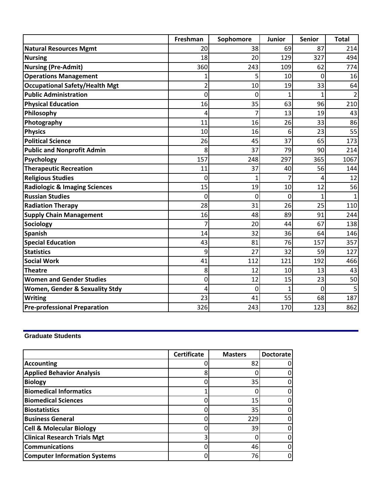|                                          | Freshman | Sophomore   | Junior       | <b>Senior</b> | <b>Total</b> |
|------------------------------------------|----------|-------------|--------------|---------------|--------------|
| <b>Natural Resources Mgmt</b>            | 20       | 38          | 69           | 87            | 214          |
| <b>Nursing</b>                           | 18       | 20          | 129          | 327           | 494          |
| <b>Nursing (Pre-Admit)</b>               | 360      | 243         | 109          | 62            | 774          |
| <b>Operations Management</b>             |          | 5           | 10           | 0             | 16           |
| <b>Occupational Safety/Health Mgt</b>    | 2        | 10          | 19           | 33            | 64           |
| <b>Public Administration</b>             | 0        | 0           | 1            | 1             | 2            |
| <b>Physical Education</b>                | 16       | 35          | 63           | 96            | 210          |
| Philosophy                               | 4        | 7           | 13           | 19            | 43           |
| Photography                              | 11       | 16          | 26           | 33            | 86           |
| <b>Physics</b>                           | 10       | 16          | 6            | 23            | 55           |
| <b>Political Science</b>                 | 26       | 45          | 37           | 65            | 173          |
| <b>Public and Nonprofit Admin</b>        | 8        | 37          | 79           | 90            | 214          |
| Psychology                               | 157      | 248         | 297          | 365           | 1067         |
| <b>Therapeutic Recreation</b>            | 11       | 37          | 40           | 56            | 144          |
| <b>Religious Studies</b>                 | 0        | 1           | 7            | 4             | 12           |
| <b>Radiologic &amp; Imaging Sciences</b> | 15       | 19          | 10           | 12            | 56           |
| <b>Russian Studies</b>                   | $\Omega$ | $\mathbf 0$ | $\mathbf{0}$ | $\mathbf{1}$  |              |
| <b>Radiation Therapy</b>                 | 28       | 31          | 26           | 25            | 110          |
| <b>Supply Chain Management</b>           | 16       | 48          | 89           | 91            | 244          |
| Sociology                                | 7        | 20          | 44           | 67            | 138          |
| <b>Spanish</b>                           | 14       | 32          | 36           | 64            | 146          |
| <b>Special Education</b>                 | 43       | 81          | 76           | 157           | 357          |
| <b>Statistics</b>                        | 9        | 27          | 32           | 59            | 127          |
| <b>Social Work</b>                       | 41       | 112         | 121          | 192           | 466          |
| <b>Theatre</b>                           | 8        | 12          | 10           | 13            | 43           |
| <b>Women and Gender Studies</b>          | 0        | 12          | 15           | 23            | 50           |
| Women, Gender & Sexuality Stdy           | 4        | 0           | 1            | 0             | 5            |
| <b>Writing</b>                           | 23       | 41          | 55           | 68            | 187          |
| <b>Pre-professional Preparation</b>      | 326      | 243         | 170          | 123           | 862          |

## **Graduate Students**

|                                     | <b>Certificate</b> | <b>Masters</b> | <b>Doctorate</b> |
|-------------------------------------|--------------------|----------------|------------------|
| <b>Accounting</b>                   |                    | 82             |                  |
| <b>Applied Behavior Analysis</b>    | 8                  |                |                  |
| <b>Biology</b>                      |                    | 35             |                  |
| <b>Biomedical Informatics</b>       |                    |                |                  |
| <b>Biomedical Sciences</b>          |                    | 15             |                  |
| <b>Biostatistics</b>                |                    | 35             |                  |
| <b>Business General</b>             |                    | 229            |                  |
| <b>Cell &amp; Molecular Biology</b> |                    | 39             |                  |
| <b>Clinical Research Trials Mgt</b> | 3                  |                |                  |
| <b>Communications</b>               |                    | 46             |                  |
| <b>Computer Information Systems</b> |                    | 76             |                  |